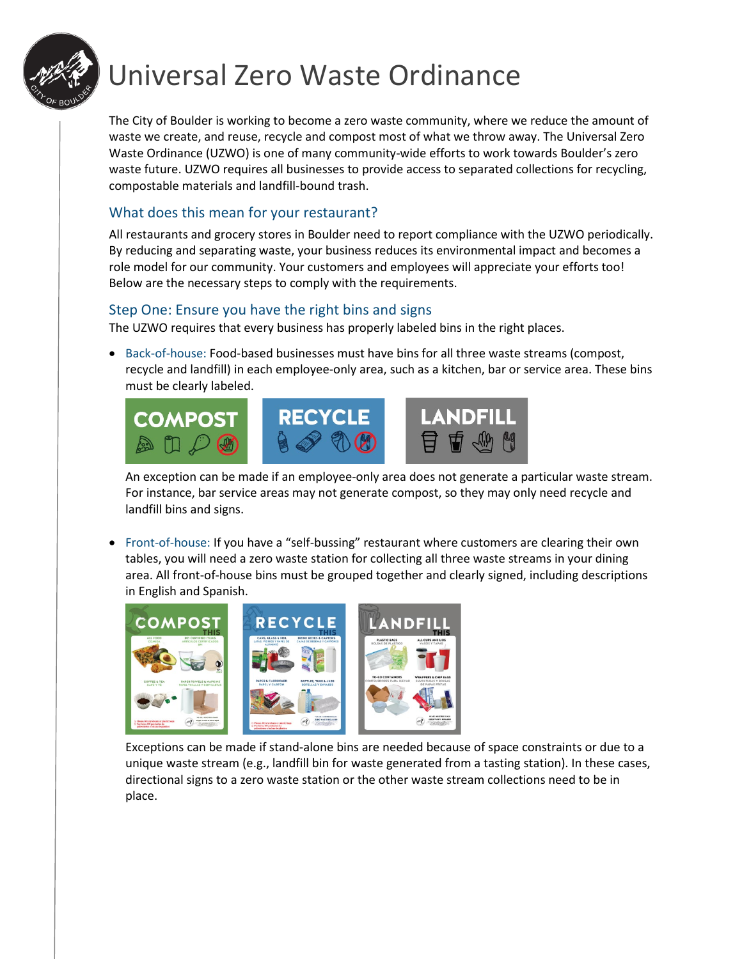

# Universal Zero Waste Ordinance

The City of Boulder is working to become a zero waste community, where we reduce the amount of waste we create, and reuse, recycle and compost most of what we throw away. The Universal Zero Waste Ordinance (UZWO) is one of many community-wide efforts to work towards Boulder's zero waste future. UZWO requires all businesses to provide access to separated collections for recycling, compostable materials and landfill-bound trash.

## What does this mean for your restaurant?

All restaurants and grocery stores in Boulder need to report compliance with the UZWO periodically. By reducing and separating waste, your business reduces its environmental impact and becomes a role model for our community. Your customers and employees will appreciate your efforts too! Below are the necessary steps to comply with the requirements.

#### Step One: Ensure you have the right bins and signs

The UZWO requires that every business has properly labeled bins in the right places.

• Back-of-house: Food-based businesses must have bins for all three waste streams (compost, recycle and landfill) in each employee-only area, such as a kitchen, bar or service area. These bins must be clearly labeled.



An exception can be made if an employee-only area does not generate a particular waste stream. For instance, bar service areas may not generate compost, so they may only need recycle and landfill bins and signs.

• Front-of-house: If you have a "self-bussing" restaurant where customers are clearing their own tables, you will need a zero waste station for collecting all three waste streams in your dining area. All front-of-house bins must be grouped together and clearly signed, including descriptions in English and Spanish.



Exceptions can be made if stand-alone bins are needed because of space constraints or due to a unique waste stream (e.g., landfill bin for waste generated from a tasting station). In these cases, directional signs to a zero waste station or the other waste stream collections need to be in place.